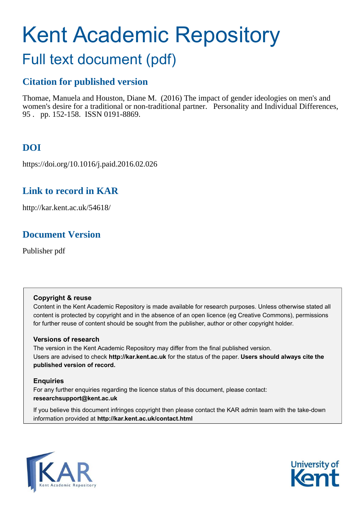# <span id="page-0-0"></span>Kent Academic Repository

# Full text document (pdf)

# **Citation for published version**

Thomae, Manuela and Houston, Diane M. (2016) The impact of gender ideologies on men's and women's desire for a traditional or non-traditional partner. Personality and Individual Differences, 95 . pp. 152-158. ISSN 0191-8869.

# **DOI**

https://doi.org/10.1016/j.paid.2016.02.026

# **Link to record in KAR**

http://kar.kent.ac.uk/54618/

# **Document Version**

Publisher pdf

# **Copyright & reuse**

Content in the Kent Academic Repository is made available for research purposes. Unless otherwise stated all content is protected by copyright and in the absence of an open licence (eg Creative Commons), permissions for further reuse of content should be sought from the publisher, author or other copyright holder.

# **Versions of research**

The version in the Kent Academic Repository may differ from the final published version. Users are advised to check **http://kar.kent.ac.uk** for the status of the paper. **Users should always cite the published version of record.**

# **Enquiries**

For any further enquiries regarding the licence status of this document, please contact: **researchsupport@kent.ac.uk**

If you believe this document infringes copyright then please contact the KAR admin team with the take-down information provided at **http://kar.kent.ac.uk/contact.html**



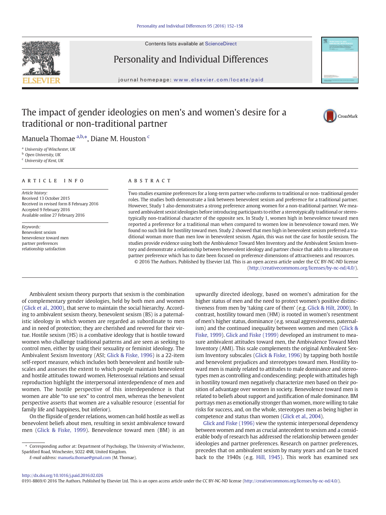Contents lists available at ScienceDirect

Personality and Individual Differences

journal homepage: <www.elsevier.com/locate/paid>



# The impact of gender ideologies on men's and women's desire for a traditional or non-traditional partner



M[a](#page-0-0)nuela Thomae <sup>a,[b](#page-0-0),\*</sup>, Diane M. Houston <sup>[c](#page-0-0)</sup>

<sup>a</sup> University of Winchester, UK

**b** Open University, UK

<sup>c</sup> University of Kent, UK

#### article info abstract

Article history: Received 13 October 2015 Received in revised form 8 February 2016 Accepted 9 February 2016 Available online 27 February 2016

Keywords: Benevolent sexism benevolence toward men partner preferences relationship satisfaction

Two studies examine preferences for a long-term partner who conforms to traditional or non- traditional gender roles. The studies both demonstrate a link between benevolent sexism and preference for a traditional partner. However, Study 1 also demonstrates a strong preference among women for a non-traditional partner. We measured ambivalent sexist ideologies before introducing participants to either a stereotypically traditional or stereotypically non-traditional character of the opposite sex. In Study 1, women high in benevolence toward men reported a preference for a traditional man when compared to women low in benevolence toward men. We found no such link for hostility toward men. Study 2 showed that men high in benevolent sexism preferred a traditional woman more than men low in benevolent sexism. Again, this was not the case for hostile sexism. The studies provide evidence using both the Ambivalence Toward Men Inventory and the Ambivalent Sexism Inventory and demonstrate a relationship between benevolent ideology and partner choice that adds to a literature on partner preference which has to date been focused on preference dimensions of attractiveness and resources. © 2016 The Authors. Published by Elsevier Ltd. This is an open access article under the CC BY-NC-ND license

(http://creativecommons.org/licenses/by-nc-nd/4.0/).

Ambivalent sexism theory purports that sexism is the combination of complementary gender ideologies, held by both men and women [\(Glick et al., 2000\)](#page-6-0), that serve to maintain the social hierarchy. According to ambivalent sexism theory, benevolent sexism (BS) is a paternalistic ideology in which women are regarded as subordinate to men and in need of protection; they are cherished and revered for their virtue. Hostile sexism (HS) is a combative ideology that is hostile toward women who challenge traditional patterns and are seen as seeking to control men, either by using their sexuality or feminist ideology. The Ambivalent Sexism Inventory (ASI; [Glick & Fiske, 1996](#page-6-0)) is a 22-item self-report measure, which includes both benevolent and hostile subscales and assesses the extent to which people maintain benevolent and hostile attitudes toward women. Heterosexual relations and sexual reproduction highlight the interpersonal interdependence of men and women. The hostile perspective of this interdependence is that women are able "to use sex" to control men, whereas the benevolent perspective asserts that women are a valuable resource (essential for family life and happiness, but inferior).

On the flipside of gender relations, women can hold hostile as well as benevolent beliefs about men, resulting in sexist ambivalence toward men ([Glick & Fiske, 1999](#page-6-0)). Benevolence toward men (BM) is an

E-mail address: [manuela.thomae@gmail.com](mailto:manuela.thomae@gmail.com) (M. Thomae).

upwardly directed ideology, based on women's admiration for the higher status of men and the need to protect women's positive distinctiveness from men by 'taking care of them' (e.g. [Glick & Hilt, 2000](#page-6-0)). In contrast, hostility toward men (HM) is rooted in women's resentment of men's higher status, dominance (e.g. sexual aggressiveness, paternalism) and the continued inequality between women and men [\(Glick &](#page-6-0) [Fiske, 1999\)](#page-6-0). [Glick and Fiske \(1999\)](#page-6-0) developed an instrument to measure ambivalent attitudes toward men, the Ambivalence Toward Men Inventory (AMI). This scale complements the original Ambivalent Sexism Inventory subscales [\(Glick & Fiske, 1996\)](#page-6-0) by tapping both hostile and benevolent prejudices and stereotypes toward men. Hostility toward men is mainly related to attitudes to male dominance and stereotypes men as controlling and condescending; people with attitudes high in hostility toward men negatively characterize men based on their position of advantage over women in society. Benevolence toward men is related to beliefs about support and justification of male dominance. BM portrays men as emotionally stronger than women, more willing to take risks for success, and, on the whole, stereotypes men as being higher in competence and status than women [\(Glick et al., 2004\)](#page-6-0).

[Glick and Fiske \(1996\)](#page-6-0) view the systemic interpersonal dependency between women and men as crucial antecedent to sexism and a considerable body of research has addressed the relationship between gender ideologies and partner preferences. Research on partner preferences, precedes that on ambivalent sexism by many years and can be traced back to the 1940s (e.g. [Hill, 1945\)](#page-6-0). This work has examined sex

#### <http://dx.doi.org/10.1016/j.paid.2016.02.026>

0191-8869/© 2016 The Authors. Published by Elsevier Ltd. This is an open access article under the CC BY-NC-ND license (http://creativecommons.org/licenses/by-nc-nd/4.0/).



<sup>⁎</sup> Corresponding author at: Department of Psychology, The University of Winchester, Sparkford Road, Winchester, SO22 4NR, United Kingdom.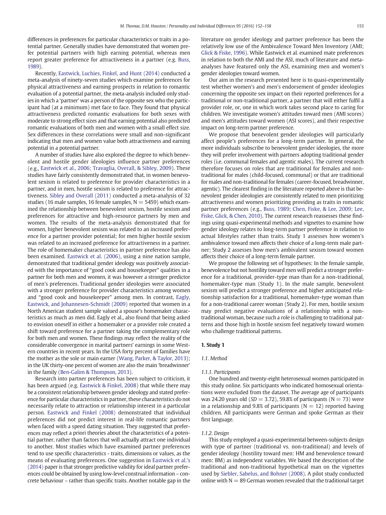<span id="page-2-0"></span>differences in preferences for particular characteristics or traits in a potential partner. Generally studies have demonstrated that women prefer potential partners with high earning potential, whereas men report greater preference for attractiveness in a partner (e.g. [Buss,](#page-6-0) [1989](#page-6-0)).

Recently, [Eastwick, Luchies, Finkel, and Hunt \(2014\)](#page-6-0) conducted a meta-analysis of ninety-seven studies which examine preferences for physical attractiveness and earning prospects in relation to romantic evaluation of a potential partner, the meta-analysis included only studies in which a 'partner' was a person of the opposite sex who the participant had (at a minimum) met face to face. They found that physical attractiveness predicted romantic evaluations for both sexes with moderate to strong effect sizes and that earning potential also predicted romantic evaluations of both men and women with a small effect size. Sex differences in these correlations were small and non-significant indicating that men and women value both attractiveness and earning potential in a potential partner.

A number of studies have also explored the degree to which benevolent and hostile gender ideologies influence partner preferences (e.g., [Eastwick et al., 2006; Travaglia, Overall, & Sibley, 2009\)](#page-6-0). These studies have fairly consistently demonstrated that, in women benevolent sexism is related to preference for provider characteristics in a partner, and in men, hostile sexism is related to preference for attractiveness. [Sibley and Overall \(2011\)](#page-6-0) conducted a meta-analysis of 32 studies (16 male samples, 16 female samples,  $N = 5459$ ) which examined the relationship between benevolent sexism, hostile sexism and preferences for attractive and high-resource partners by men and women. The results of the meta-analysis demonstrated that for women, higher benevolent sexism was related to an increased preference for a partner provider potential; for men higher hostile sexism was related to an increased preference for attractiveness in a partner. The role of homemaker characteristics in partner preference has also been examined. [Eastwick et al. \(2006\),](#page-6-0) using a nine nation sample, demonstrated that traditional gender ideology was positively associated with the importance of "good cook and housekeeper" qualities in a partner for both men and women, it was however a stronger predictor of men's preferences. Traditional gender ideologies were associated with a stronger preference for provider characteristics among women and "good cook and housekeeper" among men. In contrast, [Eagly,](#page-6-0) [Eastwick, and Johannesen-Schmidt \(2009\)](#page-6-0) reported that women in a North American student sample valued a spouse's homemaker characteristics as much as men did. Eagly et al., also found that being asked to envision oneself in either a homemaker or a provider role created a shift toward preference for a partner taking the complementary role for both men and women. These findings may reflect the reality of the considerable convergence in marital partners' earnings in some Western countries in recent years. In the USA forty percent of families have the mother as the sole or main earner ([Wang, Parker, & Taylor, 2013](#page-6-0)); in the UK thirty-one percent of women are also the main 'breadwinner' in the family [\(Ben-Galim & Thompson, 2013\)](#page-5-0).

Research into partner preferences has been subject to criticism, it has been argued (e.g. [Eastwick & Finkel, 2008](#page-6-0)) that while there may be a consistent relationship between gender ideology and stated preference for particular characteristics in partner, these characteristics do not necessarily relate to attraction or relationship interest in a particular person. [Eastwick and Finkel \(2008\)](#page-6-0) demonstrated that individual preferences did not predict interest in real-life romantic partners when faced with a speed dating situation. They suggested that preferences may reflect a priori theories about the characteristics of a potential partner, rather than factors that will actually attract one individual to another. Most studies which have examined partner preferences tend to use specific characteristics - traits, dimensions or values, as the means of evaluating preferences. One suggestion in [Eastwick et al.](#page-6-0)'s [\(2014\)](#page-6-0) paper is that stronger predictive validity for ideal partner preferences could be obtained by using low-level construal information – concrete behaviour – rather than specific traits. Another notable gap in the

literature on gender ideology and partner preference has been the relatively low use of the Ambivalence Toward Men Inventory (AMI; [Glick & Fiske, 1996](#page-6-0)). While Eastwick et al. examined mate preferences in relation to both the AMI and the ASI, much of literature and metaanalyses have featured only the ASI, examining men and women's gender ideologies toward women.

Our aim in the research presented here is to quasi-experimentally test whether women's and men's endorsement of gender ideologies concerning the opposite sex impact on their reported preferences for a traditional or non-traditional partner, a partner that will either fulfil a provider role, or, one in which work takes second place to caring for children. We investigate women's attitudes toward men (AMI scores) and men's attitudes toward women (ASI scores), and their respective impact on long-term partner preference.

We propose that benevolent gender ideologies will particularly affect people's preferences for a long-term partner. In general, the more individuals subscribe to benevolent gender ideologies, the more they will prefer involvement with partners adopting traditional gender roles (i.e. communal females and agentic males). The current research therefore focuses on roles that are traditional for females and nontraditional for males (child-focused, communal) or that are traditional for males and non-traditional for females (career-focused, breadwinner, agentic). The clearest finding in the literature reported above is that benevolent gender ideologies are consistently related to men prioritizing attractiveness and women prioritizing providing as traits in romantic partner preferences (e.g., [Buss, 1989; Chen, Fiske, & Lee, 2009; Lee,](#page-6-0) [Fiske, Glick, & Chen, 2010](#page-6-0)). The current research reassesses these findings using quasi-experimental methods and vignettes to examine how gender ideology relates to long-term partner preference in relation to actual lifestyles rather than traits. Study 1 assesses how women's ambivalence toward men affects their choice of a long-term male partner; Study 2 assesses how men's ambivalent sexism toward women affects their choice of a long-term female partner.

We propose the following set of hypotheses: In the female sample, benevolence but not hostility toward men will predict a stronger preference for a traditional, provider-type man than for a non-traditional, homemaker-type man (Study 1). In the male sample, benevolent sexism will predict a stronger preference and higher anticipated relationship satisfaction for a traditional, homemaker-type woman than for a non-traditional career woman (Study 2). For men, hostile sexism may predict negative evaluations of a relationship with a nontraditional woman, because such a role is challenging to traditional patterns and those high in hostile sexism feel negatively toward women who challenge traditional patterns.

#### 1. Study 1

#### 1.1. Method

#### 1.1.1. Participants

One hundred and twenty-eight heterosexual women participated in this study online. Six participants who indicated homosexual orientations were excluded from the dataset. The average age of participants was 24.20 years old ( $SD = 3.72$ ), 59.8% of participants ( $N = 73$ ) were in a relationship and 9.8% of participants ( $N = 12$ ) reported having children. All participants were German and spoke German as their first language.

#### 1.1.2. Design

This study employed a quasi-experimental between-subjects design with type of partner (traditional vs. non-traditional) and levels of gender ideology (hostility toward men: HM and benevolence toward men: BM) as independent variables. We based the description of the traditional and non-traditional hypothetical man on the vignettes used by [Siebler, Sabelus, and Bohner \(2008\).](#page-6-0) A pilot study conducted online with  $N = 89$  German women revealed that the traditional target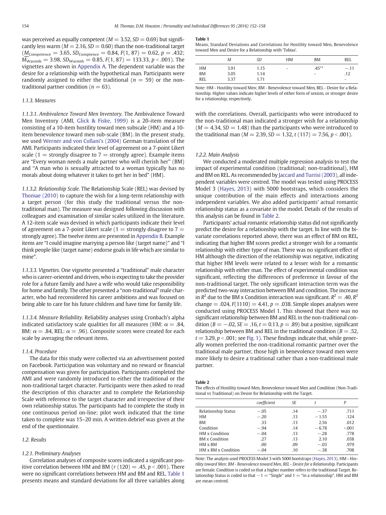<span id="page-3-0"></span>was perceived as equally competent ( $M = 3.52$ ,  $SD = 0.69$ ) but significantly less warm ( $M = 2.16$ ,  $SD = 0.60$ ) than the non-traditional target  $(M_{\text{Complete}} = 3.65, SD_{\text{Complete}} = 0.84, F(1, 87) = 0.62, p = .432;$  $M_{\text{Warmth}} = 3.98$ ,  $SD_{\text{Warmth}} = 0.85$ ,  $F(1, 87) = 133.33$ ,  $p < .001$ ). The vignettes are shown in [Appendix A.](#page-5-0) The dependent variable was the desire for a relationship with the hypothetical man. Participants were randomly assigned to either the traditional ( $n = 59$ ) or the nontraditional partner condition ( $n = 63$ ).

#### 1.1.3. Measures

1.1.3.1. Ambivalence Toward Men Inventory. The Ambivalence Toward Men Inventory (AMI, [Glick & Fiske, 1999](#page-6-0)) is a 20-item measure consisting of a 10-item hostility toward men subscale (HM) and a 10 item benevolence toward men sub-scale (BM). In the present study, we used [Werner and von Collani's \(2004\)](#page-6-0) German translation of the AMI. Participants indicated their level of agreement on a 7-point Likert scale (1 = strongly disagree to 7 = strongly agree). Example items are "Every woman needs a male partner who will cherish her" (BM) and "A man who is sexually attracted to a woman typically has no morals about doing whatever it takes to get her in bed" (HM).

1.1.3.2. Relationship Scale. The Relationship Scale (REL) was devised by [Thomae \(2010\)](#page-6-0) to capture the wish for a long-term relationship with a target person (for this study the traditional versus the nontraditional man). The measure was designed following discussion with colleagues and examination of similar scales utilized in the literature. A 12-item scale was devised in which participants indicate their level of agreement on a 7-point Likert scale ( $1 =$  strongly disagree to  $7 =$ strongly agree). The twelve items are presented in [Appendix B.](#page-5-0) Example items are "I could imagine marrying a person like (target name)" and "I think people like (target name) endorse goals in life which are similar to mine".

1.1.3.3. Vignettes. One vignette presented a "traditional" male character who is career-oriented and driven, who is expecting to take the provider role for a future family and have a wife who would take responsibility for home and family. The other presented a "non-traditional" male character, who had reconsidered his career ambitions and was focused on being able to care for his future children and have time for family life.

1.1.3.4. Measure Reliability. Reliability analyses using Cronbach's alpha indicated satisfactory scale qualities for all measures (HM:  $\alpha = .84$ , BM:  $\alpha = .84$ , REL:  $\alpha = .96$ ). Composite scores were created for each scale by averaging the relevant items.

#### 1.1.4. Procedure

The data for this study were collected via an advertisement posted on Facebook. Participation was voluntary and no reward or financial compensation was given for participation. Participants completed the AMI and were randomly introduced to either the traditional or the non-traditional target character. Participants were then asked to read the description of this character and to complete the Relationship Scale with reference to the target character and irrespective of their own relationship status. The participants had to complete the study in one continuous period on-line; pilot work indicated that the time taken to complete was 15–20 min. A written debrief was given at the end of the questionnaire.

#### 1.2. Results

#### 1.2.1. Preliminary Analyses

Correlation analyses of composite scores indicated a significant positive correlation between HM and BM ( $r(120) = .45$ ,  $p < .001$ ). There were no significant correlations between HM and BM and REL. [Table 1](#page-2-0) presents means and standard deviations for all three variables along

#### Table 1

Means, Standard Deviations and Correlations for Hostility toward Men, Benevolence toward Men and Desire for a Relationship with 'Tobias'.

|                                      | M                    | SD                   | HM                       | <b>BM</b>     | <b>REL</b>                                |
|--------------------------------------|----------------------|----------------------|--------------------------|---------------|-------------------------------------------|
| <b>HM</b><br><b>BM</b><br><b>REL</b> | 3.91<br>3.05<br>3.37 | 1.15<br>1.14<br>1.71 | $\overline{\phantom{a}}$ | $.45***$<br>۰ | $-.11$<br>.12<br>$\overline{\phantom{0}}$ |

Note: HM - Hostility toward Men; BM - Benevolence toward Men, REL - Desire for a Relationship. Higher values indicate higher levels of either form of sexism, or stronger desire for a relationship, respectively.

with the correlations. Overall, participants who were introduced to the non-traditional man indicated a stronger wish for a relationship  $(M = 4.34, SD = 1.48)$  than the participants who were introduced to the traditional man ( $M = 2.39$ ,  $SD = 1.32$ , t (117) = 7.56, p < .001).

#### 1.2.2. Main Analysis

We conducted a moderated multiple regression analysis to test the impact of experimental condition (traditional; non-traditional), HM and BM on REL. As recommended by [Jaccard and Turrisi \(2003\),](#page-6-0) all independent variables were centred. The model was tested using PROCESS Model 3 [\(Hayes, 2013\)](#page-6-0) with 5000 bootstraps, which considers the unique contribution of the main effects and interactions among independent variables. We also added participants' actual romantic relationship status as a covariate in the model. Details of the results of this analysis can be found in [Table 2.](#page-2-0)

Participants' actual romantic relationship status did not significantly predict the desire for a relationship with the target. In line with the bivariate correlations reported above, there was an effect of BM on REL, indicating that higher BM scores predict a stronger wish for a romantic relationship with either type of man. There was no significant effect of HM although the direction of the relationship was negative, indicating that higher HM levels were related to a lesser wish for a romantic relationship with either man. The effect of experimental condition was significant, reflecting the differences of preference in favour of the non-traditional target. The only significant interaction term was the predicted two-way interaction between BM and condition. The increase in  $R^2$  due to the BM x Condition interaction was significant.  $R^2 = .40$ ,  $R^2$ change = .024,  $F(1110) = 4.41$ ,  $p = .038$ . Simple slopes analyses were conducted using PROCESS Model 1. This showed that there was no significant relationship between BM and REL in the non-traditional condition ( $B = -.02$ ,  $SE = .16$ ,  $t = 0.13$ ,  $p = .89$ ) but a positive, significant relationship between BM and REL in the traditional condition ( $B = .52$ ,  $t = 3.29$ ,  $p < .001$ ; see Fig. 1). These findings indicate that, while generally women preferred the non-traditional romantic partner over the traditional male partner, those high in benevolence toward men were more likely to desire a traditional rather than a non-traditional male partner.

#### Table 2

The effects of Hostility toward Men, Benevolence toward Men and Condition (Non-Traditional vs Traditional) on Desire for Relationship with the Target.

|                       | coefficient | SE  |         |       |
|-----------------------|-------------|-----|---------|-------|
| Relationship Status   | $-.05$      | .14 | $-.37$  | .711  |
| <b>HM</b>             | $-.20$      | .13 | $-1.55$ | .124  |
| <b>BM</b>             | .33         | .13 | 2.56    | .012  |
| Condition             | $-.94$      | .14 | $-6.78$ | < 001 |
| HM x Condition        | $-.04$      | .13 | $-.28$  | .778  |
| <b>BM</b> x Condition | .27         | .13 | 2.10    | .038  |
| HM x BM               | .00         | .09 | $-.03$  | .979  |
| HM x BM x Condition   | $-.04$      | .10 | $-.38$  | .708  |

Note: The analysis used PROCESS Model 3 with 5000 bootstraps ([Hayes, 2013\)](#page-6-0). HM - Hostility toward Men; BM - Benevolence toward Men, REL - Desire for a Relationship. Participants are female. Condition is coded so that a higher number refers to the traditional Target. Relationship Status is coded so that −1 = "Single" and 1 = "in a relationship". HM and BM are mean centred.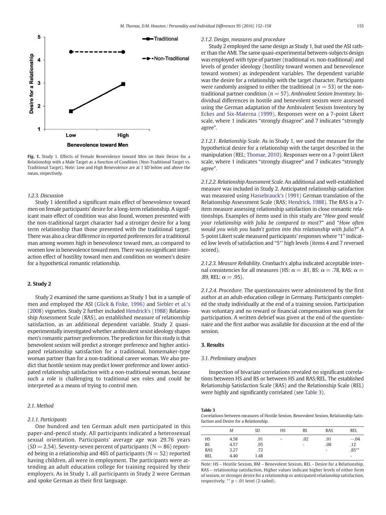<span id="page-4-0"></span>

Fig. 1. Study 1. Effects of Female Benevolence toward Men on their Desire for a Relationship with a Male Target as a function of Condition (Non-Traditional Target vs. Traditional Target). Note: Low and High Benevolence are at 1 SD below and above the mean, respectively.

#### 1.2.3. Discussion

Study 1 identified a significant main effect of benevolence toward men on female participants' desire for a long-term relationship. A significant main effect of condition was also found, women presented with the non-traditional target character had a stronger desire for a long term relationship than those presented with the traditional target. There was also a clear difference in reported preferences for a traditional man among women high in benevolence toward men, as compared to women low in benevolence toward men. There was no significant interaction effect of hostility toward men and condition on women's desire for a hypothetical romantic relationship.

#### 2. Study 2

Study 2 examined the same questions as Study 1 but in a sample of men and employed the ASI [\(Glick & Fiske, 1996](#page-6-0)) and [Siebler et al.](#page-6-0)'s [\(2008\)](#page-6-0) vignettes. Study 2 further included [Hendrick's \(1988\)](#page-6-0) Relationship Assessment Scale (RAS), an established measure of relationship satisfaction, as an additional dependent variable. Study 2 quasiexperimentally investigated whether ambivalent sexist ideology shapes men's romantic partner preferences. The prediction for this study is that benevolent sexism will predict a stronger preference and higher anticipated relationship satisfaction for a traditional, homemaker-type woman partner than for a non-traditional career woman. We also predict that hostile sexism may predict lower preference and lower anticipated relationship satisfaction with a non-traditional woman, because such a role is challenging to traditional sex roles and could be interpreted as a means of trying to control men.

#### 2.1. Method

#### 2.1.1. Participants

One hundred and ten German adult men participated in this paper-and-pencil study. All participants indicated a heterosexual sexual orientation. Participants' average age was 29.76 years  $(SD = 2.54)$ . Seventy-seven percent of participants (N = 86) reported being in a relationship and 46% of participants ( $N = 52$ ) reported having children, all were in employment. The participants were attending an adult education college for training required by their employers. As in Study 1, all participants in Study 2 were German and spoke German as their first language.

#### 2.1.2. Design, measures and procedure

Study 2 employed the same design as Study 1, but used the ASI rather than the AMI. The same quasi-experimental between-subjects design was employed with type of partner (traditional vs. non-traditional) and levels of gender ideology (hostility toward women and benevolence toward women) as independent variables. The dependent variable was the desire for a relationship with the target character. Participants were randomly assigned to either the traditional ( $n = 53$ ) or the nontraditional partner condition ( $n = 57$ ). Ambivalent Sexism Inventory. Individual differences in hostile and benevolent sexism were assessed using the German adaptation of the Ambivalent Sexism Inventory by [Eckes and Six-Materna \(1999\)](#page-6-0). Responses were on a 7-point Likert scale, where 1 indicates "strongly disagree" and 7 indicates "strongly agree".

2.1.2.1. Relationship Scale. As in Study 1, we used the measure for the hypothetical desire for a relationship with the target described in the manipulation (REL; [Thomae, 2010\)](#page-6-0). Responses were on a 7-point Likert scale, where 1 indicates "strongly disagree" and 7 indicates "strongly agree".

2.1.2.2. Relationship Assessment Scale. An additional and well-established measure was included in Study 2. Anticipated relationship satisfaction was measured using [Hassebrauck's \(1991\)](#page-6-0) German translation of the Relationship Assessment Scale (RAS; [Hendrick, 1988](#page-6-0)). The RAS is a 7 item measure assessing relationship satisfaction in close romantic relationships. Examples of items used in this study are "How good would your relationship with Julia be compared to most?" and "How often would you wish you hadn't gotten into this relationship with Julia?" A 5-point Likert scale measured participants' responses where "1" indicated low levels of satisfaction and "5″' high levels (items 4 and 7 reversed scored).

2.1.2.3. Measure Reliability. Cronbach's alpha indicated acceptable internal consistencies for all measures (HS:  $\alpha = .81$ , BS:  $\alpha = .78$ , RAS:  $\alpha =$ .89, REL:  $\alpha = .95$ ).

2.1.2.4. Procedure. The questionnaires were administered by the first author at an adult-education college in Germany. Participants completed the study individually at the end of a training session. Participation was voluntary and no reward or financial compensation was given for participation. A written debrief was given at the end of the questionnaire and the first author was available for discussion at the end of the session.

#### 3. Results

#### 3.1. Preliminary analyses

Inspection of bivariate correlations revealed no significant correlations between HS and BS or between HS and RAS/REL. The established Relationship Satisfaction Scale (RAS) and the Relationship Scale (REL) were highly and significantly correlated (see [Table 3](#page-3-0)).

#### Table 3

Correlations between measures of Hostile Sexism, Benevolent Sexism, Relationship Satisfaction and Desire for a Relationship.

|            | M    | SD   | <b>HS</b>                | <b>BS</b>                | <b>RAS</b> | <b>REL</b>               |
|------------|------|------|--------------------------|--------------------------|------------|--------------------------|
| HS         | 4.58 | .91  | $\overline{\phantom{0}}$ | .02                      | .01        | $-.04$                   |
| BS         | 4.57 | .95  |                          | $\overline{\phantom{0}}$ | .08        | .12                      |
| <b>RAS</b> | 3.27 | .72  |                          |                          | -          | $.85***$                 |
| <b>REL</b> | 4.40 | 1.48 |                          |                          |            | $\overline{\phantom{0}}$ |

Note: HS – Hostile Sexism, BM – Benevolent Sexism, REL - Desire for a Relationship, RAS – relationship satisfaction. Higher values indicate higher levels of either form of sexism, or stronger desire for a relationship or anticipated relationship satisfaction, respectively.  $**$  p < .01 level (2-tailed).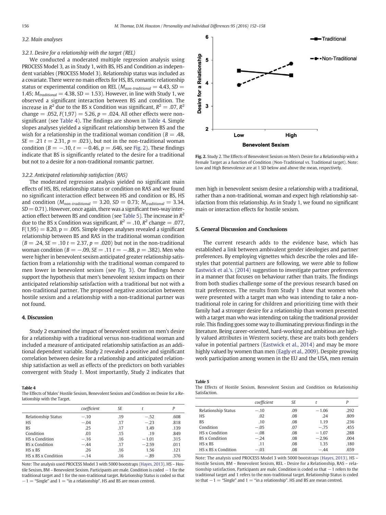#### <span id="page-5-0"></span>3.2. Main analyses

#### 3.2.1. Desire for a relationship with the target (REL)

We conducted a moderated multiple regression analysis using PROCESS Model 3, as in Study 1, with BS, HS and Condition as independent variables (PROCESS Model 3). Relationship status was included as a covariate. There were no main effects for HS, BS, romantic relationship status or experimental condition on REL ( $M_{non-traditional} = 4.43$ , SD = 1.45;  $M_{\text{traditional}} = 4.38$ ,  $SD = 1.53$ ). However, in line with Study 1, we observed a significant interaction between BS and condition. The increase in  $R^2$  due to the BS x Condition was significant,  $R^2 = .07$ ,  $R^2$ change = .052,  $F(1,97) = 5.26$ ,  $p = .024$ . All other effects were nonsignificant (see [Table 4\)](#page-4-0). The findings are shown in [Table 4](#page-4-0). Simple slopes analyses yielded a significant relationship between BS and the wish for a relationship in the traditional woman condition ( $B = .48$ ,  $SE = .21$   $t = 2.31$ ,  $p = .023$ ), but not in the non-traditional woman condition ( $B = -.10$ ,  $t = -0.46$ ,  $p = .646$ , see [Fig. 2](#page-4-0)). These findings indicate that BS is significantly related to the desire for a traditional but not to a desire for a non-traditional romantic partner.

#### 3.2.2. Anticipated relationship satisfaction (RAS)

The moderated regression analysis yielded no significant main effects of HS, BS, relationship status or condition on RAS and we found no significant interaction effect between HS and condition or BS, HS and condition ( $M_{non-traditional} = 3.20$ ,  $SD = 0.73$ ;  $M_{traditional} = 3.34$ ,  $SD = 0.71$ ). However, once again, there was a significant two-way inter-action effect between BS and condition (see [Table 5\)](#page-4-0). The increase in  $R^2$ due to the BS x Condition was significant,  $R^2 = 0.10$ ,  $R^2$  change = .077,  $F(1,95) = 8.20$ , p = .005. Simple slopes analyses revealed a significant relationship between BS and RAS in the traditional woman condition  $(B = .24, SE = .10 t = 2.37, p = .020)$  but not in the non-traditional woman condition ( $B = -.09$ ,  $SE = .11$  t =  $-.88$ , p = .382). Men who were higher in benevolent sexism anticipated greater relationship satisfaction from a relationship with the traditional woman compared to men lower in benevolent sexism (see Fig. 3). Our findings hence support the hypothesis that men's benevolent sexism impacts on their anticipated relationship satisfaction with a traditional but not with a non-traditional partner. The proposed negative association between hostile sexism and a relationship with a non-traditional partner was not found.

#### 4. Discussion

Study 2 examined the impact of benevolent sexism on men's desire for a relationship with a traditional versus non-traditional woman and included a measure of anticipated relationship satisfaction as an additional dependent variable. Study 2 revealed a positive and significant correlation between desire for a relationship and anticipated relationship satisfaction as well as effects of the predictors on both variables convergent with Study 1. Most importantly, Study 2 indicates that

#### Table 4

| The Effects of Males' Hostile Sexism. Benevolent Sexism and Condition on Desire for a Re- |  |  |
|-------------------------------------------------------------------------------------------|--|--|
| lationship with the Target.                                                               |  |  |

|                       | coefficient | SE  |         |      |
|-----------------------|-------------|-----|---------|------|
| Relationship Status   | $-.10$      | .19 | $-.52$  | .608 |
| <b>HS</b>             | $-.04$      | .17 | $-.23$  | .818 |
| <b>BS</b>             | .25         | .17 | 1.49    | .139 |
| Condition             | .03         | .15 | .19     | .849 |
| HS x Condition        | $-.16$      | .16 | $-1.01$ | .315 |
| <b>BS</b> x Condition | $-.44$      | .17 | $-2.59$ | .011 |
| HS x BS               | .26         | .16 | 1.56    | .121 |
| HS x BS x Condition   | $-.14$      | .16 | $-.89$  | .376 |

Note: The analysis used PROCESS Model 3 with 5000 bootstraps [\(Hayes, 2013](#page-6-0)). HS – Hostile Sexism, BM – Benevolent Sexism. Participants are male. Condition is coded −1 for the traditional target and 1 for the non-traditional target. Relationship Status is coded so that  $-1$  = "Single" and 1 = "in a relationship". HS and BS are mean centred.



Fig. 2. Study 2. The Effects of Benevolent Sexism on Men's Desire for a Relationship with a Female Target as a function of Condition (Non-Traditional vs. Traditional target). Note: Low and High Benevolence are at 1 SD below and above the mean, respectively.

men high in benevolent sexism desire a relationship with a traditional, rather than a non-traditional, woman and expect high relationship satisfaction from this relationship. As in Study 1, we found no significant main or interaction effects for hostile sexism.

#### 5. General Discussion and Conclusions

The current research adds to the evidence base, which has established a link between ambivalent gender ideologies and partner preferences. By employing vignettes which describe the roles and lifestyles that potential partners are following, we were able to follow [Eastwick et al.'s. \(2014\)](#page-6-0) suggestion to investigate partner preferences in a manner that focuses on behaviour rather than traits. The findings from both studies challenge some of the previous research based on trait preferences. The results from Study 1 show that women who were presented with a target man who was intending to take a nontraditional role in caring for children and prioritizing time with their family had a stronger desire for a relationship than women presented with a target man who was intending on taking the traditional provider role. This finding goes some way to illuminating previous findings in the literature. Being career-oriented, hard-working and ambitious are highly valued attributes in Western society, these are traits both genders value in potential partners [\(Eastwick et al., 2014\)](#page-6-0) and may be more highly valued by women than men [\(Eagly et al., 2009\)](#page-6-0). Despite growing work participation among women in the EU and the USA, men remain

| Table 5 |               |  |  |  |  |                                                                                |
|---------|---------------|--|--|--|--|--------------------------------------------------------------------------------|
|         |               |  |  |  |  | The Effects of Hostile Sexism, Benevolent Sexism and Condition on Relationship |
|         | Satisfaction. |  |  |  |  |                                                                                |

|                       | coefficient | SE  |         | P    |
|-----------------------|-------------|-----|---------|------|
| Relationship Status   | $-.10$      | .09 | $-1.06$ | .292 |
| <b>HS</b>             | .02         | .08 | .24     | .809 |
| <b>BS</b>             | .10         | .08 | 1.19    | .236 |
| Condition             | $-.05$      | .07 | $-.75$  | .455 |
| <b>HS</b> x Condition | $-.08$      | .08 | $-1.07$ | .288 |
| <b>BS</b> x Condition | $-.24$      | .08 | $-2.96$ | .004 |
| $HS \times BS$        | .11         | .08 | 1.35    | .180 |
| HS x BS x Condition   | $-.03$      | .08 | $-.44$  | .659 |
|                       |             |     |         |      |

Note: The analysis used PROCESS Model 3 with 5000 bootstraps ([Hayes, 2013](#page-6-0)). HS – Hostile Sexism, BM – Benevolent Sexism, REL - Desire for a Relationship, RAS – relationship satisfaction. Participants are male. Condition is coded so that  $-1$  refers to the traditional target and 1 refers to the non-traditional target. Relationship Status is coded so that  $-1$  = "Single" and  $1$  = "in a relationship". HS and BS are mean centred.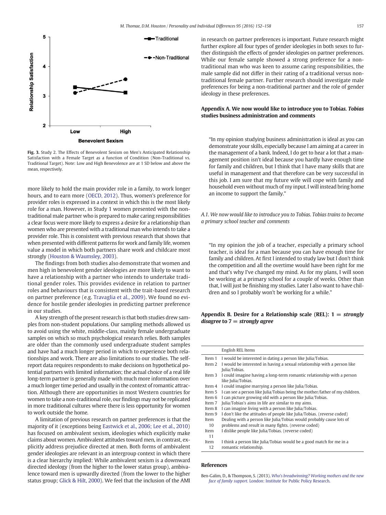<span id="page-6-0"></span>

Fig. 3. Study 2. The Effects of Benevolent Sexism on Men's Anticipated Relationship Satisfaction with a Female Target as a function of Condition (Non-Traditional vs. Traditional Target). Note: Low and High Benevolence are at 1 SD below and above the mean, respectively.

more likely to hold the main provider role in a family, to work longer hours, and to earn more (OECD, 2012). Thus, women's preference for provider roles is expressed in a context in which this is the most likely role for a man. However, in Study 1 women presented with the nontraditional male partner who is prepared to make caring responsibilities a clear focus were more likely to express a desire for a relationship than women who are presented with a traditional man who intends to take a provider role. This is consistent with previous research that shows that when presented with different patterns for work and family life, women value a model in which both partners share work and childcare most strongly (Houston & Waumsley, 2003).

The findings from both studies also demonstrate that women and men high in benevolent gender ideologies are more likely to want to have a relationship with a partner who intends to undertake traditional gender roles. This provides evidence in relation to partner roles and behaviours that is consistent with the trait-based research on partner preference (e.g. Travaglia et al., 2009). We found no evidence for hostile gender ideologies in predicting partner preference in our studies.

A key strength of the present research is that both studies drew samples from non-student populations. Our sampling methods allowed us to avoid using the white, middle-class, mainly female undergraduate samples on which so much psychological research relies. Both samples are older than the commonly used undergraduate student samples and have had a much longer period in which to experience both relationships and work. There are also limitations to our studies. The selfreport data requires respondents to make decisions on hypothetical potential partners with limited information; the actual choice of a real life long-term partner is generally made with much more information over a much longer time period and usually in the context of romantic attraction. Although there are opportunities in most Western countries for women to take a non-traditional role, our findings may not be replicated in more traditional cultures where there is less opportunity for women to work outside the home.

A limitation of previous research on partner preferences is that the majority of it (exceptions being Eastwick et al., 2006; Lee et al., 2010) has focused on ambivalent sexism, ideologies which explicitly make claims about women. Ambivalent attitudes toward men, in contrast, explicitly address prejudice directed at men. Both forms of ambivalent gender ideologies are relevant in an intergroup context in which there is a clear hierarchy implied: While ambivalent sexism is a downward directed ideology (from the higher to the lower status group), ambivalence toward men is upwardly directed (from the lower to the higher status group; Glick & Hilt, 2000). We feel that the inclusion of the AMI in research on partner preferences is important. Future research might further explore all four types of gender ideologies in both sexes to further distinguish the effects of gender ideologies on partner preferences. While our female sample showed a strong preference for a nontraditional man who was keen to assume caring responsibilities, the male sample did not differ in their rating of a traditional versus nontraditional female partner. Further research should investigate male preferences for being a non-traditional partner and the role of gender ideology in these preferences.

#### Appendix A. We now would like to introduce you to Tobias. Tobias studies business administration and comments

"In my opinion studying business administration is ideal as you can demonstrate your skills, especially because I am aiming at a career in the management of a bank. Indeed, I do get to hear a lot that a management position isn't ideal because you hardly have enough time for family and children, but I think that I have many skills that are useful in management and that therefore can be very successful in this job. I am sure that my future wife will cope with family and household even without much of my input. I will instead bring home an income to support the family."

A.1. We now would like to introduce you to Tobias. Tobias trains to become a primary school teacher and comments

"In my opinion the job of a teacher, especially a primary school teacher, is ideal for a man because you can have enough time for family and children. At first I intended to study law but I don't think the competition and all the overtime would have been right for me and that's why I've changed my mind. As for my plans, I will soon be working at a primary school for a couple of weeks. Other than that, I will just be finishing my studies. Later I also want to have children and so I probably won't be working for a while."

#### Appendix B. Desire for a Relationship scale (REL):  $1 =$  strongly disagree to  $7 =$  strongly agree

|        | English REL Items                                                            |
|--------|------------------------------------------------------------------------------|
| Item 1 | I would be interested in dating a person like Julia/Tobias.                  |
| Item 2 | I would be interested in having a sexual relationship with a person like     |
|        | Julia/Tobias.                                                                |
| Item 3 | I could imagine having a long-term romantic relationship with a person       |
|        | like Julia/Tobias.                                                           |
| Item 4 | I could imagine marrying a person like Julia/Tobias.                         |
| Item 5 | I can see a person like Julia/Tobias being the mother/father of my children. |
| Item 6 | I can picture growing old with a person like Julia/Tobias.                   |
| Item 7 | Julia/Tobias's aims in life are similar to my aims.                          |
| Item 8 | I can imagine living with a person like Julia/Tobias.                        |
| Item 9 | I don't like the attitudes of people like Julia/Tobias, (reverse coded)      |
| Item   | Dealing with a person like Julia/Tobias would probably cause lots of         |
| 10     | problems and result in many fights. (reverse coded)                          |
| Item   | I dislike people like Julia/Tobias, (reverse coded)                          |
| 11     |                                                                              |
| Item   | I think a person like Julia/Tobias would be a good match for me in a         |
| 12     | romantic relationship.                                                       |
|        |                                                                              |

#### References

Ben-Galim, D., & Thompson, S. (2013). [Who's breadwinning? Working mothers and the new](http://refhub.elsevier.com/S0191-8869(16)30081-2/rf0005) face of family support. [London: Institute for Public Policy Research.](http://refhub.elsevier.com/S0191-8869(16)30081-2/rf0005)